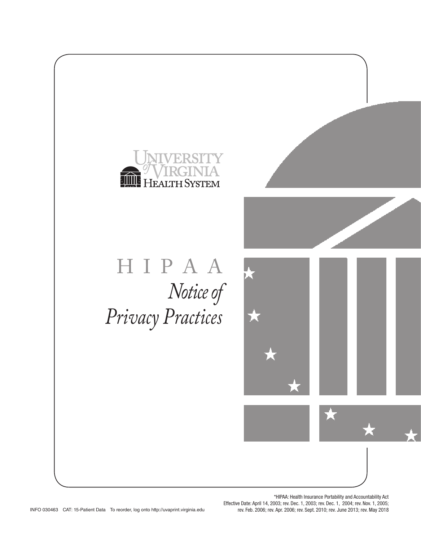

\*HIPAA: Health Insurance Portability and Accountability Act Effective Date: April 14, 2003; rev. Dec. 1, 2003; rev. Dec. 1, 2004; rev. Nov. 1, 2005; rev. Feb. 2006; rev. Apr. 2006; rev. Sept. 2010; rev. June 2013; rev. May 2018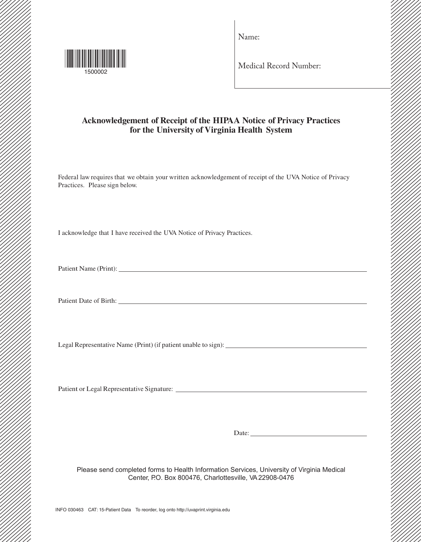



Name:

Medical Record Number:

### **Acknowledgement of Receipt of the HIPAA Notice of Privacy Practices for the University of Virginia Health System**

Federal law requires that we obtain your written acknowledgement of receipt of the UVA Notice of Privacy Practices. Please sign below.

I acknowledge that I have received the UVA Notice of Privacy Practices.

Patient Name (Print):

Patient Date of Birth:

Legal Representative Name (Print) (if patient unable to sign):

Patient or Legal Representative Signature:

Date:

Please send completed forms to Health Information Services, University of Virginia Medical Center, P.O. Box 800476, Charlottesville, VA 22908-0476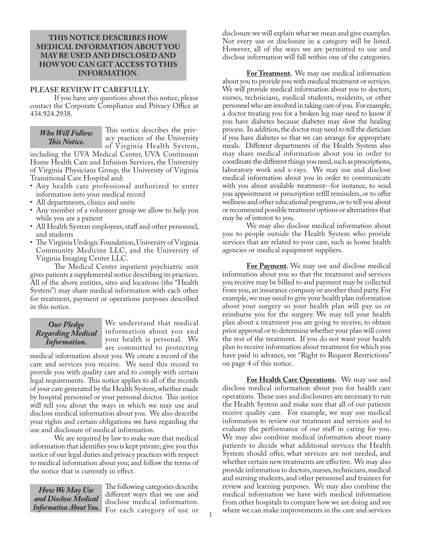#### **THIS NOTICE DESCRIBES HOW MEDICAL INFORMATION ABOUT YOU MAY BE USED AND DISCLOSED AND HOW YOU CAN GET ACCESS TO THIS INFORMATION.**

#### **PLEASE REVIEW IT CAREFULLY.**

If you have any questions about this notice, please contact the Corporate Compliance and Privacy Office at 434.924.2938.

#### *Who Will Follow This Notice.*

This notice describes the privacy practices of the University of Virginia Health System,

including the UVA Medical Center, UVA Continuum Home Health Care and Infusion Services, the University of Virginia Physicians Group, the University of Virginia Transitional Care Hospital and:

- Any health care professional authorized to enter information into your medical record
- All departments, clinics and units
- Any member of a volunteer group we allow to help you while you are a patient
- All Health System employees, staff and other personnel, and students
- The Virginia Urologic Foundation, University of Virginia Community Medicine LLC, and the University of Virginia Imaging Center LLC.

The Medical Center inpatient psychiatric unit gives patients a supplemental notice describing its practices. All of the above entities, sites and locations (the "Health System") may share medical information with each other for treatment, payment or operations purposes described in this notice.

#### *Our Pledge Regarding Medical Information.*

We understand that medical information about you and your health is personal. We are committed to protecting

medical information about you. We create a record of the care and services you receive. We need this record to provide you with quality care and to comply with certain legal requirements. This notice applies to all of the records of your care generated by the Health System, whether made by hospital personnel or your personal doctor. This notice will tell you about the ways in which we may use and disclose medical information about you. We also describe your rights and certain obligations we have regarding the use and disclosure of medical information.

We are required by law to make sure that medical information that identifies you is kept private; give you this notice of our legal duties and privacy practices with respect to medical information about you; and follow the terms of the notice that is currently in effect.

*How We May Use and Disclose Medical* 

The following categories describe different ways that we use and disclose medical information. **Information About You.** For each category of use or 1

disclosure we will explain what we mean and give examples. Not every use or disclosure in a category will be listed. However, all of the ways we are permitted to use and disclose information will fall within one of the categories.

**For Treatment.** We may use medical information about you to provide you with medical treatment or services. We will provide medical information about you to doctors, nurses, technicians, medical students, residents, or other personnel who are involved in taking care of you. For example, a doctor treating you for a broken leg may need to know if you have diabetes because diabetes may slow the healing process. In addition, the doctor may need to tell the dietician if you have diabetes so that we can arrange for appropriate meals. Different departments of the Health System also may share medical information about you in order to coordinate the different things you need, such as prescriptions, laboratory work and x-rays. We may use and disclose medical information about you in order to communicate with you about available treatment--for instance, to send you appointment or prescription refill reminders, or to offer wellness and other educational programs, or to tell you about or recommend possible treatment options or alternatives that may be of interest to you.

We may also disclose medical information about you to people outside the Health System who provide services that are related to your care, such as home health agencies or medical equipment suppliers.

**For Payment.** We may use and disclose medical information about you so that the treatment and services you receive may be billed to and payment may be collected from you, an insurance company or another third party. For example, we may need to give your health plan information about your surgery so your health plan will pay us or reimburse you for the surgery. We may tell your health plan about a treatment you are going to receive, to obtain prior approval or to determine whether your plan will cover the rest of the treatment. If you do not want your health plan to receive information about treatment for which you have paid in advance, see "Right to Request Restrictions" on page 4 of this notice.

**For Health Care Operations.** We may use and disclose medical information about you for health care operations. These uses and disclosures are necessary to run the Health System and make sure that all of our patients receive quality care. For example, we may use medical information to review our treatment and services and to evaluate the performance of our staff in caring for you. We may also combine medical information about many patients to decide what additional services the Health System should offer, what services are not needed, and whether certain new treatments are effective. We may also provide information to doctors, nurses, technicians, medical and nursing students, and other personnel and trainees for review and learning purposes. We may also combine the medical information we have with medical information from other hospitals to compare how we are doing and see where we can make improvements in the care and services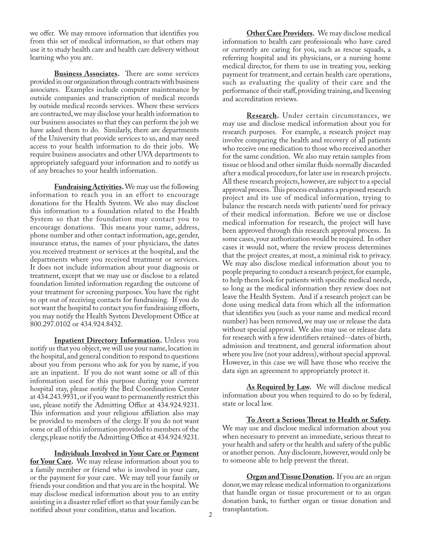we offer. We may remove information that identifies you from this set of medical information, so that others may use it to study health care and health care delivery without learning who you are.

**Business Associates.** There are some services provided in our organization through contracts with business associates. Examples include computer maintenance by outside companies and transcription of medical records by outside medical records services. Where these services are contracted, we may disclose your health information to our business associates so that they can perform the job we have asked them to do. Similarly, there are departments of the University that provide services to us, and may need access to your health information to do their jobs. We require business associates and other UVA departments to appropriately safeguard your information and to notify us of any breaches to your health information.

**Fundraising Activities.**We may use the following information to reach you in an effort to encourage donations for the Health System. We also may disclose this information to a foundation related to the Health System so that the foundation may contact you to encourage donations. This means your name, address, phone number and other contact information, age, gender, insurance status, the names of your physicians, the dates you received treatment or services at the hospital, and the departments where you received treatment or services. It does not include information about your diagnosis or treatment, except that we may use or disclose to a related foundation limited information regarding the outcome of your treatment for screening purposes. You have the right to opt out of receiving contacts for fundraising. If you do not want the hospital to contact you for fundraising efforts, you may notify the Health System Development Office at 800.297.0102 or 434.924.8432.

**Inpatient Directory Information.** Unless you notify us that you object, we will use your name, location in the hospital, and general condition to respond to questions about you from persons who ask for you by name, if you are an inpatient. If you do not want some or all of this information used for this purpose during your current hospital stay, please notify the Bed Coordination Center at 434.243.9931, or if you want to permanently restrict this use, please notify the Admitting Office at 434.924.9231. This information and your religious affiliation also may be provided to members of the clergy. If you do not want some or all of this information provided to members of the clergy, please notify the Admitting Office at 434.924.9231.

**Individuals Involved in Your Care or Payment** 

**for Your Care.** We may release information about you to a family member or friend who is involved in your care, or the payment for your care. We may tell your family or friends your condition and that you are in the hospital. We may disclose medical information about you to an entity assisting in a disaster relief effort so that your family can be notified about your condition, status and location.

**Other Care Providers.** We may disclose medical information to health care professionals who have cared or currently are caring for you, such as rescue squads, a referring hospital and its physicians, or a nursing home medical director, for them to use in treating you, seeking payment for treatment, and certain health care operations, such as evaluating the quality of their care and the performance of their staff, providing training, and licensing and accreditation reviews.

**Research.** Under certain circumstances, we may use and disclose medical information about you for research purposes. For example, a research project may involve comparing the health and recovery of all patients who receive one medication to those who received another for the same condition. We also may retain samples from tissue or blood and other similar fluids normally discarded after a medical procedure, for later use in research projects. All these research projects, however, are subject to a special approval process. This process evaluates a proposed research project and its use of medical information, trying to balance the research needs with patients' need for privacy of their medical information. Before we use or disclose medical information for research, the project will have been approved through this research approval process. In some cases, your authorization would be required. In other cases it would not, where the review process determines that the project creates, at most, a minimal risk to privacy. We may also disclose medical information about you to people preparing to conduct a research project, for example, to help them look for patients with specific medical needs, so long as the medical information they review does not leave the Health System. And if a research project can be done using medical data from which all the information that identifies you (such as your name and medical record number) has been removed, we may use or release the data without special approval. We also may use or release data for research with a few identifiers retained--dates of birth, admission and treatment, and general information about where you live (not your address), without special approval. However, in this case we will have those who receive the data sign an agreement to appropriately protect it.

**As Required by Law.** We will disclose medical information about you when required to do so by federal, state or local law.

**To Avert a Serious Threat to Health or Safety.** We may use and disclose medical information about you when necessary to prevent an immediate, serious threat to your health and safety or the health and safety of the public or another person. Any disclosure, however, would only be to someone able to help prevent the threat.

**Organ and Tissue Donation.** If you are an organ donor, we may release medical information to organizations that handle organ or tissue procurement or to an organ donation bank, to further organ or tissue donation and transplantation.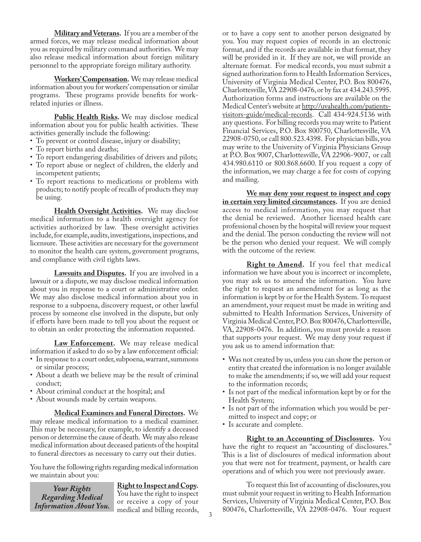**Military and Veterans.** If you are a member of the armed forces, we may release medical information about you as required by military command authorities. We may also release medical information about foreign military personnel to the appropriate foreign military authority.

**Workers' Compensation.** We may release medical information about you for workers' compensation or similar programs. These programs provide benefits for workrelated injuries or illness.

**Public Health Risks.** We may disclose medical information about you for public health activities. These activities generally include the following:

- To prevent or control disease, injury or disability;
- To report births and deaths;
- To report endangering disabilities of drivers and pilots;
- To report abuse or neglect of children, the elderly and incompetent patients;
- To report reactions to medications or problems with products; to notify people of recalls of products they may be using.

**Health Oversight Activities.** We may disclose medical information to a health oversight agency for activities authorized by law. These oversight activities include, for example, audits, investigations, inspections, and licensure. These activities are necessary for the government to monitor the health care system, government programs, and compliance with civil rights laws.

**Lawsuits and Disputes.** If you are involved in a lawsuit or a dispute, we may disclose medical information about you in response to a court or administrative order. We may also disclose medical information about you in response to a subpoena, discovery request, or other lawful process by someone else involved in the dispute, but only if efforts have been made to tell you about the request or to obtain an order protecting the information requested.

**Law Enforcement.** We may release medical information if asked to do so by a law enforcement official:

- In response to a court order, subpoena, warrant, summons or similar process;
- About a death we believe may be the result of criminal conduct;
- About criminal conduct at the hospital; and
- About wounds made by certain weapons.

**Medical Examiners and Funeral Directors.** We may release medical information to a medical examiner. This may be necessary, for example, to identify a deceased person or determine the cause of death. We may also release medical information about deceased patients of the hospital to funeral directors as necessary to carry out their duties.

You have the following rights regarding medical information we maintain about you:

medical and billing records, *Your Rights Regarding Medical Information About You.*

**Right to Inspect and Copy.** You have the right to inspect or receive a copy of your

or to have a copy sent to another person designated by you. You may request copies of records in an electronic format, and if the records are available in that format, they will be provided in it. If they are not, we will provide an alternate format. For medical records, you must submit a signed authorization form to Health Information Services, University of Virginia Medical Center, P.O. Box 800476, Charlottesville, VA 22908-0476, or by fax at 434.243.5995. Authorization forms and instructions are available on the Medical Center's website at http://uvahealth.com/patientsvisitors-guide/medical-records. Call 434-924.5136 with any questions. For billing records you may write to Patient Financial Services, P.O. Box 800750, Charlottesville, VA 22908-0750, or call 800.523.4398. For physician bills, you may write to the University of Virginia Physicians Group at P.O. Box 9007, Charlottesville, VA 22906-9007, or call 434.980.6110 or 800.868.6600. If you request a copy of the information, we may charge a fee for costs of copying and mailing.

**We may deny your request to inspect and copy in certain very limited circumstances.** If you are denied access to medical information, you may request that the denial be reviewed. Another licensed health care professional chosen by the hospital will review your request and the denial. The person conducting the review will not be the person who denied your request. We will comply with the outcome of the review.

**Right to Amend.** If you feel that medical information we have about you is incorrect or incomplete, you may ask us to amend the information. You have the right to request an amendment for as long as the information is kept by or for the Health System. To request an amendment, your request must be made in writing and submitted to Health Information Services, University of Virginia Medical Center, P.O. Box 800476, Charlottesville, VA, 22908-0476. In addition, you must provide a reason that supports your request. We may deny your request if you ask us to amend information that:

- Was not created by us, unless you can show the person or entity that created the information is no longer available to make the amendments; if so, we will add your request to the information records;
- Is not part of the medical information kept by or for the Health System;
- Is not part of the information which you would be permitted to inspect and copy; or
- Is accurate and complete.

**Right to an Accounting of Disclosures.** You have the right to request an "accounting of disclosures." This is a list of disclosures of medical information about you that were not for treatment, payment, or health care operations and of which you were not previously aware.

To request this list of accounting of disclosures, you must submit your request in writing to Health Information Services, University of Virginia Medical Center, P.O. Box 800476, Charlottesville, VA 22908-0476. Your request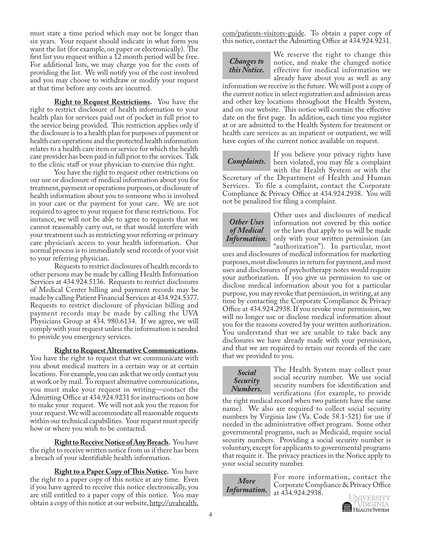must state a time period which may not be longer than six years. Your request should indicate in what form you want the list (for example, on paper or electronically). The first list you request within a 12 month period will be free. For additional lists, we may charge you for the costs of providing the list. We will notify you of the cost involved and you may choose to withdraw or modify your request at that time before any costs are incurred.

**Right to Request Restrictions.** You have the right to restrict disclosure of health information to your health plan for services paid out of pocket in full prior to the service being provided. This restriction applies only if the disclosure is to a health plan for purposes of payment or health care operations and the protected health information relates to a health care item or service for which the health care provider has been paid in full prior to the services. Talk to the clinic staff or your physician to exercise this right.

You have the right to request other restrictions on our use or disclosure of medical information about you for treatment, payment or operations purposes, or disclosure of health information about you to someone who is involved in your care or the payment for your care. We are not required to agree to your request for these restrictions. For instance, we will not be able to agree to requests that we cannot reasonably carry out, or that would interfere with your treatment such as restricting your referring or primary care physician's access to your health information. Our normal process is to immediately send records of your visit to your referring physician.

Requests to restrict disclosures of health records to other persons may be made by calling Health Information Services at 434.924.5136. Requests to restrict disclosures of Medical Center billing and payment records may be made by calling Patient Financial Services at 434.924.5377. Requests to restrict disclosure of physician billing and payment records may be made by calling the UVA Physicians Group at 434. 980.6134. If we agree, we will comply with your request unless the information is needed to provide you emergency services.

**Right to Request Alternative Communications.** You have the right to request that we communicate with you about medical matters in a certain way or at certain locations. For example, you can ask that we only contact you at work or by mail. To request alternative communications, you must make your request in writing—contact the Admitting Office at 434.924.9231 for instructions on how to make your request. We will not ask you the reason for your request. We will accommodate all reasonable requests within our technical capabilities. Your request must specify how or where you wish to be contacted.

**Right to Receive Notice of Any Breach.** You have the right to receive written notice from us if there has been a breach of your identifiable health information.

**Right to a Paper Copy of This Notice.** You have the right to a paper copy of this notice at any time. Even if you have agreed to receive this notice electronically, you are still entitled to a paper copy of this notice. You may obtain a copy of this notice at our website, http://uvahealth.

com/patients-visitors-guide. To obtain a paper copy of this notice, contact the Admitting Office at 434.924.9231.

*Changes to this Notice.*

We reserve the right to change this notice, and make the changed notice effective for medical information we already have about you as well as any

information we receive in the future. We will post a copy of the current notice in select registration and admission areas and other key locations throughout the Health System, and on our website. This notice will contain the effective date on the first page. In addition, each time you register at or are admitted to the Health System for treatment or health care services as an inpatient or outpatient, we will have copies of the current notice available on request.

*Complaints.*

If you believe your privacy rights have been violated, you may file a complaint

with the Health System or with the Secretary of the Department of Health and Human Services. To file a complaint, contact the Corporate Compliance & Privacy Office at 434.924.2938. You will not be penalized for filing a complaint.

*Other Uses of Medical Information.*

Other uses and disclosures of medical information not covered by this notice or the laws that apply to us will be made only with your written permission (an "authorization"). In particular, most

uses and disclosures of medical information for marketing purposes, most disclosures in return for payment, and most uses and disclosures of psychotherapy notes would require your authorization. If you give us permission to use or disclose medical information about you for a particular purpose, you may revoke that permission, in writing, at any time by contacting the Corporate Compliance & Privacy Office at 434.924.2938. If you revoke your permission, we will no longer use or disclose medical information about you for the reasons covered by your written authorization. You understand that we are unable to take back any disclosures we have already made with your permission, and that we are required to retain our records of the care that we provided to you.

*Social Security Numbers.* The Health System may collect your social security number. We use social security numbers for identification and verifications (for example, to provide

the right medical record when two patients have the same name). We also are required to collect social security numbers by Virginia law (Va. Code 58.1-521) for use if needed in the administrative offset program. Some other governmental programs, such as Medicaid, require social security numbers. Providing a social security number is voluntary, except for applicants to governmental programs that require it. The privacy practices in the Notice apply to your social security number.

For more information, contact the Corporate Compliance & Privacy Office at 434.924.2938. *More Information.*

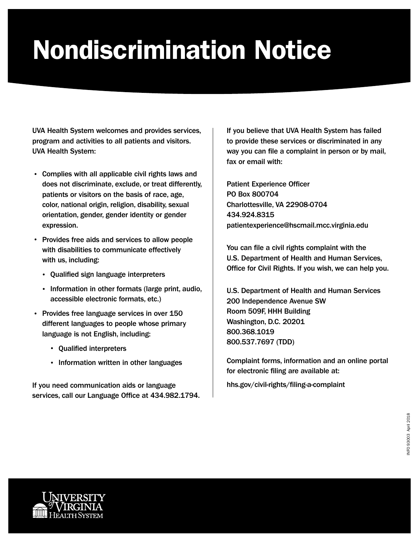# Nondiscrimination Notice

UVA Health System welcomes and provides services, program and activities to all patients and visitors. UVA Health System:

- Complies with all applicable civil rights laws and does not discriminate, exclude, or treat differently, patients or visitors on the basis of race, age, color, national origin, religion, disability, sexual orientation, gender, gender identity or gender expression.
- Provides free aids and services to allow people with disabilities to communicate effectively with us, including:
	- Qualified sign language interpreters
	- Information in other formats (large print, audio, accessible electronic formats, etc.)
- Provides free language services in over 150 different languages to people whose primary language is not English, including:
	- Qualified interpreters
	- Information written in other languages

If you need communication aids or language services, call our Language Office at 434.982.1794. If you believe that UVA Health System has failed to provide these services or discriminated in any way you can file a complaint in person or by mail, fax or email with:

Patient Experience Officer PO Box 800704 Charlottesville, VA 22908-0704 434.924.8315 patientexperience@hscmail.mcc.virginia.edu

You can file a civil rights complaint with the U.S. Department of Health and Human Services, Office for Civil Rights. If you wish, we can help you.

U.S. Department of Health and Human Services 200 Independence Avenue SW Room 509F, HHH Building Washington, D.C. 20201 800.368.1019 800.537.7697 (TDD)

Complaint forms, information and an online portal for electronic filing are available at:

hhs.gov/civil-rights/filing-a-complaint